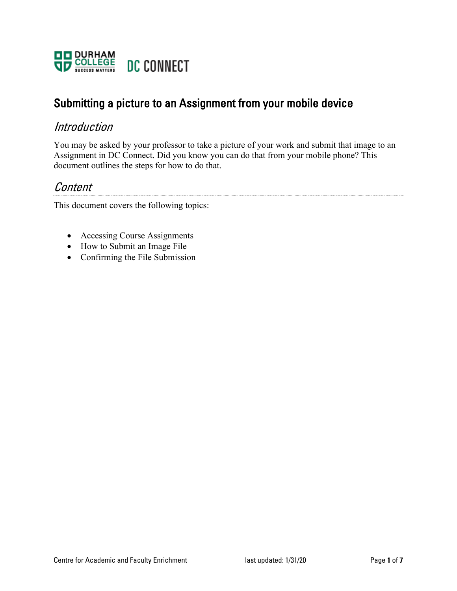

# Submitting a picture to an Assignment from your mobile device

#### Introduction

You may be asked by your professor to take a picture of your work and submit that image to an Assignment in DC Connect. Did you know you can do that from your mobile phone? This document outlines the steps for how to do that.

### Content

This document covers the following topics:

- Accessing Course Assignments
- How to Submit an Image File
- Confirming the File Submission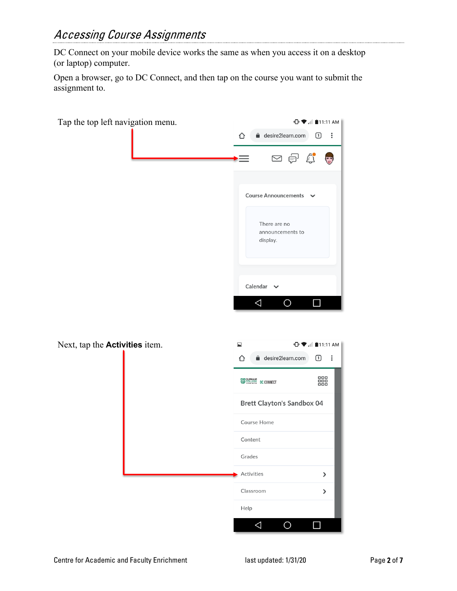DC Connect on your mobile device works the same as when you access it on a desktop (or laptop) computer.

Open a browser, go to DC Connect, and then tap on the course you want to submit the assignment to.

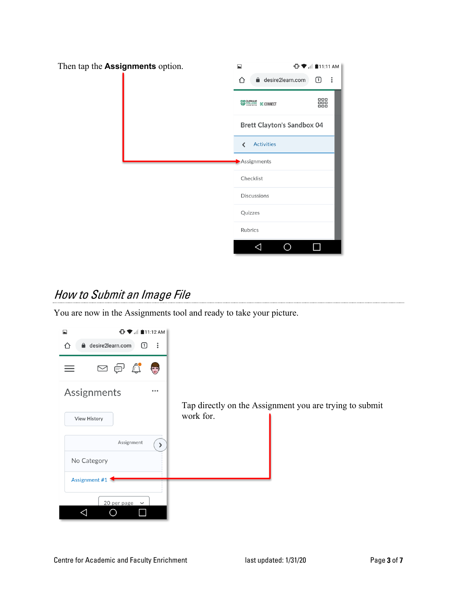

## How to Submit an Image File

You are now in the Assignments tool and ready to take your picture.

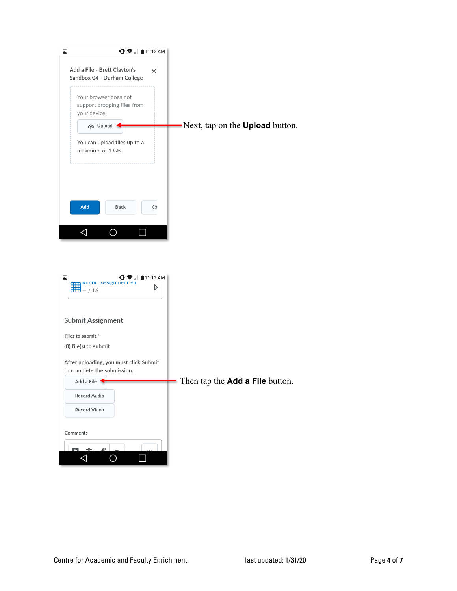| $\blacktriangle$<br>$\mathbf{C}$ $\mathbf{C}$ $\mathbf{C}$ $\mathbf{C}$ $\mathbf{C}$ $\mathbf{D}$ $\mathbf{C}$ $\mathbf{D}$ $\mathbf{D}$ $\mathbf{D}$ $\mathbf{D}$ $\mathbf{D}$ $\mathbf{D}$ $\mathbf{D}$ $\mathbf{D}$ $\mathbf{D}$ $\mathbf{D}$ $\mathbf{D}$ $\mathbf{D}$ $\mathbf{D}$ $\mathbf{D}$ $\mathbf{D}$ $\mathbf{D}$ $\mathbf{D}$ $\mathbf{$ |                                        |
|--------------------------------------------------------------------------------------------------------------------------------------------------------------------------------------------------------------------------------------------------------------------------------------------------------------------------------------------------------|----------------------------------------|
| Add a File - Brett Clayton's<br>Sandbox 04 - Durham College                                                                                                                                                                                                                                                                                            | ×                                      |
| Your browser does not<br>support dropping files from<br>your device.                                                                                                                                                                                                                                                                                   |                                        |
| <b>P</b> Upload                                                                                                                                                                                                                                                                                                                                        | Next, tap on the <b>Upload</b> button. |
| You can upload files up to a<br>maximum of 1 GB.                                                                                                                                                                                                                                                                                                       |                                        |
|                                                                                                                                                                                                                                                                                                                                                        |                                        |
| Add<br><b>Back</b>                                                                                                                                                                                                                                                                                                                                     | Ca                                     |
| ◁                                                                                                                                                                                                                                                                                                                                                      |                                        |
|                                                                                                                                                                                                                                                                                                                                                        |                                        |
|                                                                                                                                                                                                                                                                                                                                                        |                                        |
|                                                                                                                                                                                                                                                                                                                                                        |                                        |
| $\mathbb{C} \blacktriangleright \mathbb{C}$ $\mathbb{C}$ $\mathbb{C}$ 11:12 AM<br>┗<br><b>KUDIIC: ASSIGNMENT #1</b><br>囲<br>$- / 16$                                                                                                                                                                                                                   | D                                      |
|                                                                                                                                                                                                                                                                                                                                                        |                                        |
|                                                                                                                                                                                                                                                                                                                                                        |                                        |
| <b>Submit Assignment</b>                                                                                                                                                                                                                                                                                                                               |                                        |
| Files to submit *                                                                                                                                                                                                                                                                                                                                      |                                        |
| (0) file(s) to submit                                                                                                                                                                                                                                                                                                                                  |                                        |
| After uploading, you must click Submit<br>to complete the submission.                                                                                                                                                                                                                                                                                  |                                        |
| Add a File                                                                                                                                                                                                                                                                                                                                             | Then tap the Add a File button.        |
| Record Audio                                                                                                                                                                                                                                                                                                                                           |                                        |
| Record Video                                                                                                                                                                                                                                                                                                                                           |                                        |
|                                                                                                                                                                                                                                                                                                                                                        |                                        |
|                                                                                                                                                                                                                                                                                                                                                        |                                        |
| Comments                                                                                                                                                                                                                                                                                                                                               |                                        |
| ø                                                                                                                                                                                                                                                                                                                                                      |                                        |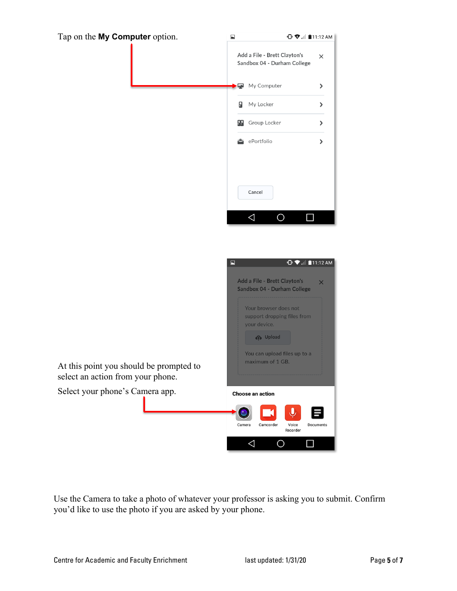

Use the Camera to take a photo of whatever your professor is asking you to submit. Confirm you'd like to use the photo if you are asked by your phone.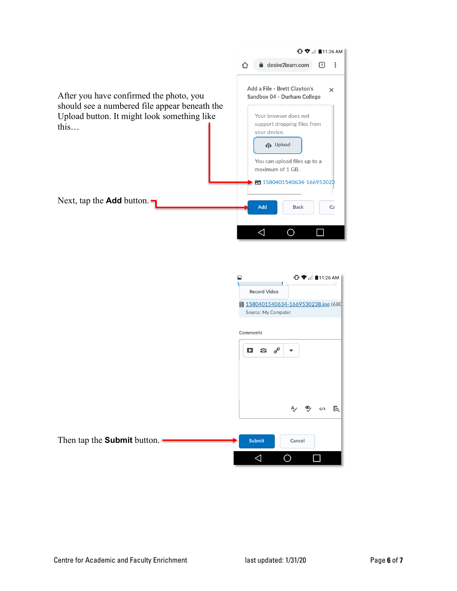